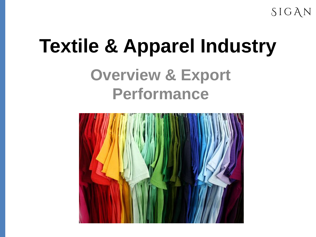SIGAN

# **Textile & Apparel Industry Overview & Export Performance**

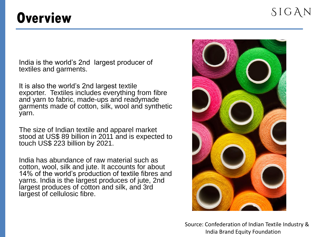#### **Overview**

India is the world's 2nd largest producer of textiles and garments.

It is also the world's 2nd largest textile exporter. Textiles includes everything from fibre and yarn to fabric, made-ups and readymade garments made of cotton, silk, wool and synthetic yarn.

The size of Indian textile and apparel market stood at US\$ 89 billion in 2011 and is expected to touch US\$ 223 billion by 2021.

India has abundance of raw material such as cotton, wool, silk and jute. It accounts for about 14% of the world's production of textile fibres and yarns. India is the largest produces of jute, 2nd largest produces of cotton and silk, and 3rd largest of cellulosic fibre.



Source: Confederation of Indian Textile Industry & India Brand Equity Foundation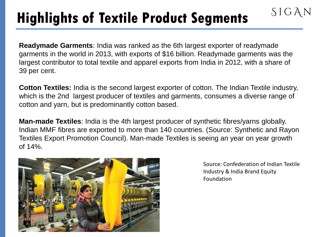### **Highlights of Textile Product Segments**

**Readymade Garments**: India was ranked as the 6th largest exporter of readymade garments in the world in 2013, with exports of \$16 billion. Readymade garments was the largest contributor to total textile and apparel exports from India in 2012, with a share of 39 per cent.

**Cotton Textiles:** India is the second largest exporter of cotton. The Indian Textile industry, which is the 2nd largest producer of textiles and garments, consumes a diverse range of cotton and yarn, but is predominantly cotton based.

**Man-made Textiles**: India is the 4th largest producer of synthetic fibres/yarns globally. Indian MMF fibres are exported to more than 140 countries. (Source: Synthetic and Rayon Textiles Export Promotion Council). Man-made Textiles is seeing an year on year growth of 14%.



Source: Confederation of Indian Textile Industry & India Brand Equity Foundation

SIGAN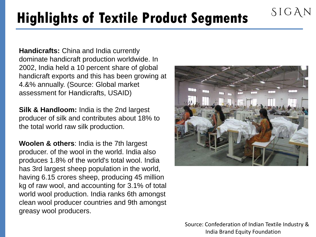## **Highlights of Textile Product Segments**

**Handicrafts:** China and India currently dominate handicraft production worldwide. In 2002, India held a 10 percent share of global handicraft exports and this has been growing at 4.&% annually. (Source: Global market assessment for Handicrafts, USAID)

**Silk & Handloom:** India is the 2nd largest producer of silk and contributes about 18% to the total world raw silk production.

**Woolen & others**: India is the 7th largest producer. of the wool in the world. India also produces 1.8% of the world's total wool. India has 3rd largest sheep population in the world, having 6.15 crores sheep, producing 45 million kg of raw wool, and accounting for 3.1% of total world wool production. India ranks 6th amongst clean wool producer countries and 9th amongst greasy wool producers.



SIGAN

Source: Confederation of Indian Textile Industry & India Brand Equity Foundation